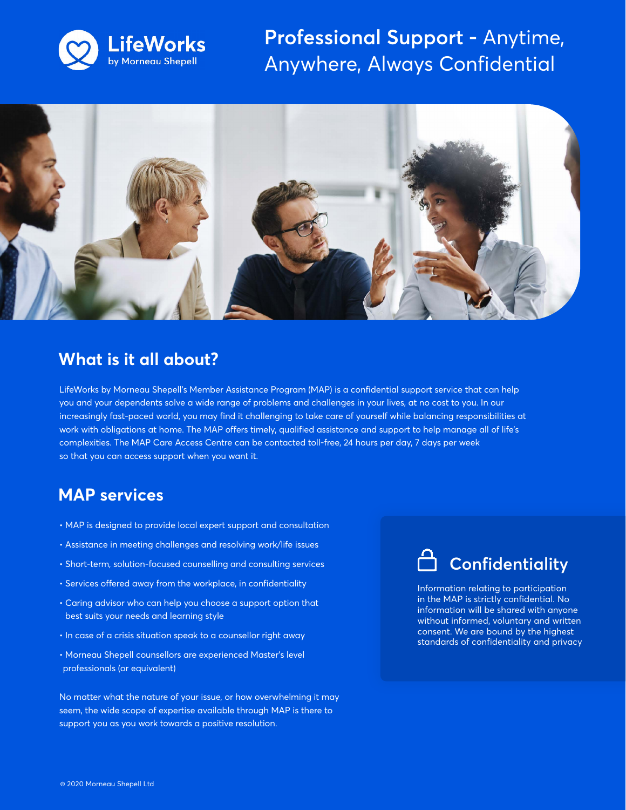

**Professional Support -** Anytime, Anywhere, Always Confidential



#### **What is it all about?**

LifeWorks by Morneau Shepell's Member Assistance Program (MAP) is a confidential support service that can help you and your dependents solve a wide range of problems and challenges in your lives, at no cost to you. In our increasingly fast-paced world, you may find it challenging to take care of yourself while balancing responsibilities at work with obligations at home. The MAP offers timely, qualified assistance and support to help manage all of life's complexities. The MAP Care Access Centre can be contacted toll-free, 24 hours per day, 7 days per week so that you can access support when you want it.

### **MAP services**

- MAP is designed to provide local expert support and consultation
- Assistance in meeting challenges and resolving work/life issues
- Short-term, solution-focused counselling and consulting services
- Services offered away from the workplace, in confidentiality
- Caring advisor who can help you choose a support option that best suits your needs and learning style
- In case of a crisis situation speak to a counsellor right away
- Morneau Shepell counsellors are experienced Master's level professionals (or equivalent)

No matter what the nature of your issue, or how overwhelming it may seem, the wide scope of expertise available through MAP is there to support you as you work towards a positive resolution.

# **Confidentiality**

Information relating to participation in the MAP is strictly confidential. No information will be shared with anyone without informed, voluntary and written consent. We are bound by the highest standards of confidentiality and privacy